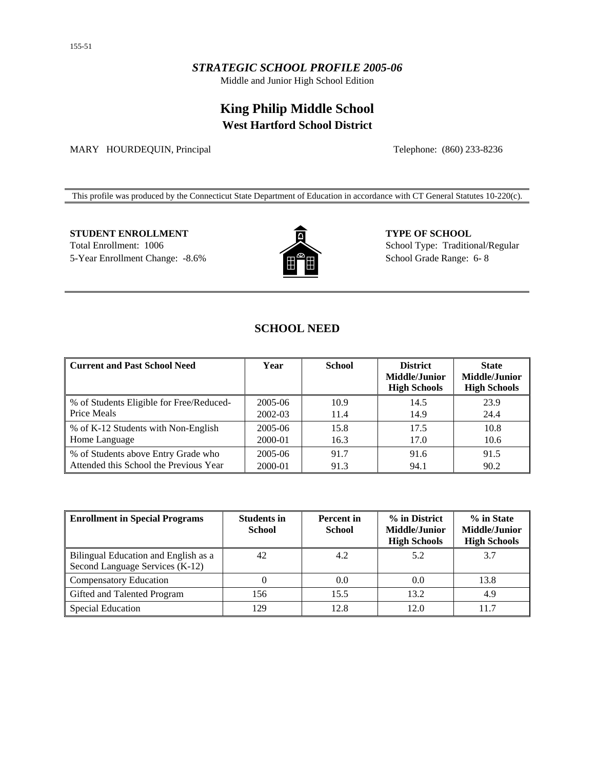## *STRATEGIC SCHOOL PROFILE 2005-06*

Middle and Junior High School Edition

# **King Philip Middle School West Hartford School District**

MARY HOURDEQUIN, Principal Telephone: (860) 233-8236

This profile was produced by the Connecticut State Department of Education in accordance with CT General Statutes 10-220(c).

## **STUDENT ENROLLMENT 6 CHOOL CONSUMERT 5 CHOOL**

Total Enrollment: 1006 5-Year Enrollment Change: -8.6%



School Type: Traditional/Regular School Grade Range: 6- 8

# **SCHOOL NEED**

| Current and Past School Need             | Year    | <b>School</b> | <b>District</b><br><b>Middle/Junior</b><br><b>High Schools</b> | <b>State</b><br><b>Middle/Junior</b><br><b>High Schools</b> |
|------------------------------------------|---------|---------------|----------------------------------------------------------------|-------------------------------------------------------------|
| % of Students Eligible for Free/Reduced- | 2005-06 | 10.9          | 14.5                                                           | 23.9                                                        |
| <b>Price Meals</b>                       | 2002-03 | 11.4          | 14.9                                                           | 24.4                                                        |
| ■ % of K-12 Students with Non-English    | 2005-06 | 15.8          | 17.5                                                           | 10.8                                                        |
| Home Language                            | 2000-01 | 16.3          | 17.0                                                           | 10.6                                                        |
| % of Students above Entry Grade who      | 2005-06 | 91.7          | 91.6                                                           | 91.5                                                        |
| Attended this School the Previous Year   | 2000-01 | 91.3          | 94.1                                                           | 90.2                                                        |

| <b>Enrollment in Special Programs</b>                                   | <b>Students in</b><br><b>School</b> | <b>Percent</b> in<br><b>School</b> | % in District<br><b>Middle/Junior</b><br><b>High Schools</b> | % in State<br>Middle/Junior<br><b>High Schools</b> |
|-------------------------------------------------------------------------|-------------------------------------|------------------------------------|--------------------------------------------------------------|----------------------------------------------------|
| Bilingual Education and English as a<br>Second Language Services (K-12) | 42                                  | 4.2                                | 5.2                                                          | 3.7                                                |
| <b>Compensatory Education</b>                                           |                                     | 0.0                                | 0.0                                                          | 13.8                                               |
| Gifted and Talented Program                                             | 156                                 | 15.5                               | 13.2                                                         | 4.9                                                |
| Special Education                                                       | 29                                  | 12.8                               | 12.0                                                         | 11.7                                               |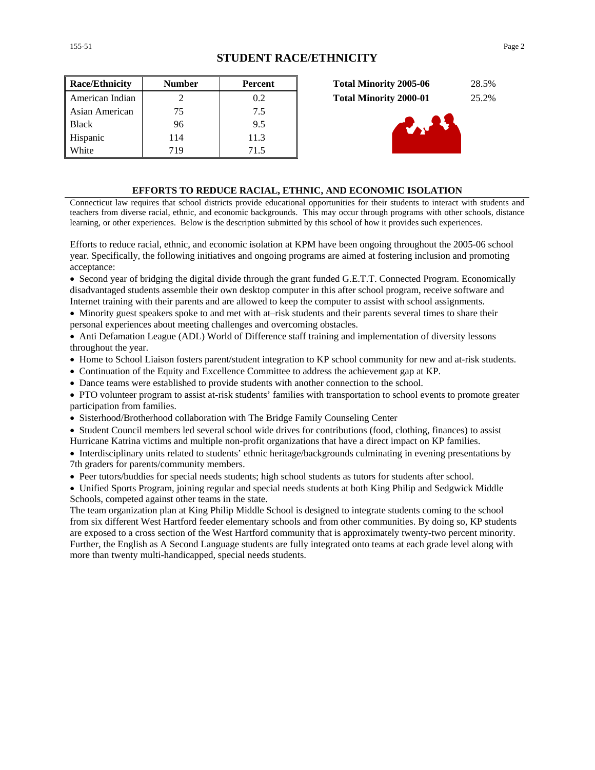| <b>Race/Ethnicity</b> | <b>Number</b>               | Percent |
|-----------------------|-----------------------------|---------|
| American Indian       | $\mathcal{D}_{\mathcal{L}}$ | 0.2     |
| Asian American        | 75                          | 7.5     |
| <b>Black</b>          | 96                          | 9.5     |
| Hispanic              | 114                         | 11.3    |
| White                 | 719                         | 71.5    |





#### **EFFORTS TO REDUCE RACIAL, ETHNIC, AND ECONOMIC ISOLATION**

Connecticut law requires that school districts provide educational opportunities for their students to interact with students and teachers from diverse racial, ethnic, and economic backgrounds. This may occur through programs with other schools, distance learning, or other experiences. Below is the description submitted by this school of how it provides such experiences.

Efforts to reduce racial, ethnic, and economic isolation at KPM have been ongoing throughout the 2005-06 school year. Specifically, the following initiatives and ongoing programs are aimed at fostering inclusion and promoting acceptance:

• Second year of bridging the digital divide through the grant funded G.E.T.T. Connected Program. Economically disadvantaged students assemble their own desktop computer in this after school program, receive software and Internet training with their parents and are allowed to keep the computer to assist with school assignments.

• Minority guest speakers spoke to and met with at–risk students and their parents several times to share their personal experiences about meeting challenges and overcoming obstacles.

• Anti Defamation League (ADL) World of Difference staff training and implementation of diversity lessons throughout the year.

• Home to School Liaison fosters parent/student integration to KP school community for new and at-risk students.

• Continuation of the Equity and Excellence Committee to address the achievement gap at KP.

• Dance teams were established to provide students with another connection to the school.

• PTO volunteer program to assist at-risk students' families with transportation to school events to promote greater participation from families.

• Sisterhood/Brotherhood collaboration with The Bridge Family Counseling Center

• Student Council members led several school wide drives for contributions (food, clothing, finances) to assist Hurricane Katrina victims and multiple non-profit organizations that have a direct impact on KP families.

• Interdisciplinary units related to students' ethnic heritage/backgrounds culminating in evening presentations by 7th graders for parents/community members.

• Peer tutors/buddies for special needs students; high school students as tutors for students after school.

• Unified Sports Program, joining regular and special needs students at both King Philip and Sedgwick Middle Schools, competed against other teams in the state.

The team organization plan at King Philip Middle School is designed to integrate students coming to the school from six different West Hartford feeder elementary schools and from other communities. By doing so, KP students are exposed to a cross section of the West Hartford community that is approximately twenty-two percent minority. Further, the English as A Second Language students are fully integrated onto teams at each grade level along with more than twenty multi-handicapped, special needs students.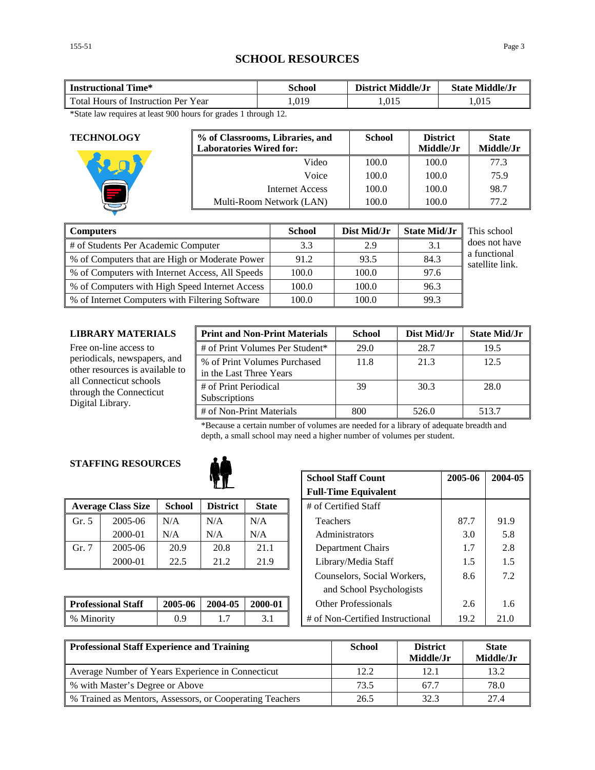# **SCHOOL RESOURCES**

| Time*<br><b>Instructional</b>       | School | <b>District Middle/Jr</b> | <b>State Middle/Jr</b> |
|-------------------------------------|--------|---------------------------|------------------------|
| Total Hours of Instruction Per Year | .019   | 1,015                     | 1.015                  |

\*State law requires at least 900 hours for grades 1 through 12.

| <b>TECHNOLOGY</b> | % of Classrooms, Libraries, and<br><b>Laboratories Wired for:</b> | <b>School</b> | <b>District</b><br>Middle/Jr | <b>State</b><br>Middle/Jr |
|-------------------|-------------------------------------------------------------------|---------------|------------------------------|---------------------------|
|                   | Video                                                             | 100.0         | 100.0                        | 77.3                      |
|                   | Voice                                                             | 100.0         | 100.0                        | 75.9                      |
|                   | Internet Access                                                   | 100.0         | 100.0                        | 98.7                      |
|                   | Multi-Room Network (LAN)                                          | 100.0         | 100.0                        | 77.2                      |

| <b>Computers</b>                                | <b>School</b> | Dist Mid/Jr | <b>State Mid/Jr</b> | This school                     |
|-------------------------------------------------|---------------|-------------|---------------------|---------------------------------|
| # of Students Per Academic Computer             | 3.3           | 2.9         | 3.1                 | does not have                   |
| % of Computers that are High or Moderate Power  | 91.2          | 93.5        | 84.3                | a functional<br>satellite link. |
| % of Computers with Internet Access, All Speeds | 100.0         | 100.0       | 97.6                |                                 |
| % of Computers with High Speed Internet Access  | 100.0         | 100.0       | 96.3                |                                 |
| % of Internet Computers with Filtering Software | 100.0         | 100.0       | 99.3                |                                 |

#### **LIBRARY MATERIALS**

| LIBRARY MATERIALS                                                      | <b>Print and Non-Print Materials</b>                    | <b>School</b> | Dist Mid/Jr | <b>State Mid/Jr</b> |
|------------------------------------------------------------------------|---------------------------------------------------------|---------------|-------------|---------------------|
| Free on-line access to                                                 | # of Print Volumes Per Student*                         | 29.0          | 28.7        | 19.5                |
| periodicals, newspapers, and<br>other resources is available to        | % of Print Volumes Purchased<br>in the Last Three Years | 11.8          | 21.3        | 12.5                |
| all Connecticut schools<br>through the Connecticut<br>Digital Library. | # of Print Periodical<br>Subscriptions                  | 39            | 30.3        | 28.0                |
|                                                                        | # of Non-Print Materials                                | 800           | 526.0       | 513.7               |

\*Because a certain number of volumes are needed for a library of adequate breadth and depth, a small school may need a higher number of volumes per student.

### **STAFFING RESOURCES**



|       | <b>Average Class Size</b> | <b>School</b> | <b>District</b> | <b>State</b> | # of Certified Staff |      |      |
|-------|---------------------------|---------------|-----------------|--------------|----------------------|------|------|
| Gr. 5 | 2005-06                   | N/A           | N/A             | N/A          | Teachers             | 87.7 | 91.9 |
|       | 2000-01                   | N/A           | N/A             | N/A          | Administrators       | 3.0  | 5.8  |
| Gr. 7 | 2005-06                   | 20.9          | 20.8            | 21.1         | Department Chairs    |      | 2.8  |
|       | 2000-01                   | 22.5          | 21.2            | 21.9         | Library/Media Staff  | 1.5  | 1.5  |

| <b>Professional Staff</b> | 2005-06 | 2004-05 | 2000-01 | Other Professionals                 | 2.U  |  |
|---------------------------|---------|---------|---------|-------------------------------------|------|--|
| % Minority                |         | .       | ۰.۱     | $\#$ of Non-Certified Instructional | 19.2 |  |

|                   |               | <b>School Staff Count</b> | 2005-06      | 2004-05 |                                  |      |      |
|-------------------|---------------|---------------------------|--------------|---------|----------------------------------|------|------|
|                   |               |                           |              |         | <b>Full-Time Equivalent</b>      |      |      |
| <b>Ilass Size</b> | <b>School</b> | <b>District</b>           | <b>State</b> |         | # of Certified Staff             |      |      |
| 2005-06           | N/A           | N/A                       | N/A          |         | <b>Teachers</b>                  | 87.7 | 91.9 |
| 2000-01           | N/A           | N/A                       | N/A          |         | Administrators                   | 3.0  | 5.8  |
| 2005-06           | 20.9          | 20.8                      | 21.1         |         | Department Chairs                | 1.7  | 2.8  |
| 2000-01           | 22.5          | 21.2                      | 21.9         |         | Library/Media Staff              | 1.5  | 1.5  |
|                   |               |                           |              |         | Counselors, Social Workers,      | 8.6  | 7.2  |
|                   |               |                           |              |         | and School Psychologists         |      |      |
| al Staff          | 2005-06       | 2004-05                   | 2000-01      |         | <b>Other Professionals</b>       | 2.6  | 1.6  |
|                   | 0.9           | 1.7                       | 3.1          |         | # of Non-Certified Instructional | 19.2 | 21.0 |

| <b>Professional Staff Experience and Training</b>        | <b>School</b> | <b>District</b><br>Middle/Jr | <b>State</b><br>Middle/Jr |
|----------------------------------------------------------|---------------|------------------------------|---------------------------|
| Average Number of Years Experience in Connecticut        | 12.2          | 12.1                         | 13.2                      |
| % with Master's Degree or Above                          | 73.5          | 67.7                         | 78.0                      |
| % Trained as Mentors, Assessors, or Cooperating Teachers | 26.5          | 32.3                         | 27.4                      |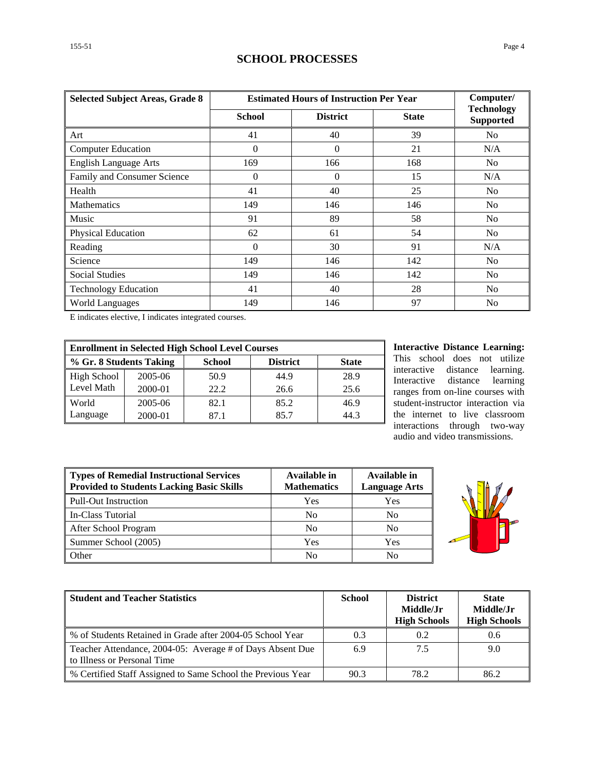# **SCHOOL PROCESSES**

| <b>Selected Subject Areas, Grade 8</b> | <b>Estimated Hours of Instruction Per Year</b> | Computer/       |              |                                       |
|----------------------------------------|------------------------------------------------|-----------------|--------------|---------------------------------------|
|                                        | <b>School</b>                                  | <b>District</b> | <b>State</b> | <b>Technology</b><br><b>Supported</b> |
| Art                                    | 41                                             | 40              | 39           | No                                    |
| <b>Computer Education</b>              | $\Omega$                                       | $\Omega$        | 21           | N/A                                   |
| <b>English Language Arts</b>           | 169                                            | 166             | 168          | No                                    |
| Family and Consumer Science            | $\theta$                                       | $\Omega$        | 15           | N/A                                   |
| Health                                 | 41                                             | 40              | 25           | N <sub>0</sub>                        |
| <b>Mathematics</b>                     | 149                                            | 146             | 146          | N <sub>0</sub>                        |
| Music                                  | 91                                             | 89              | 58           | N <sub>0</sub>                        |
| Physical Education                     | 62                                             | 61              | 54           | N <sub>0</sub>                        |
| Reading                                | $\theta$                                       | 30              | 91           | N/A                                   |
| Science                                | 149                                            | 146             | 142          | N <sub>0</sub>                        |
| <b>Social Studies</b>                  | 149                                            | 146             | 142          | No                                    |
| <b>Technology Education</b>            | 41                                             | 40              | 28           | No                                    |
| <b>World Languages</b>                 | 149                                            | 146             | 97           | N <sub>0</sub>                        |

E indicates elective, I indicates integrated courses.

| <b>Enrollment in Selected High School Level Courses</b> |         |               |                 |              |  |  |
|---------------------------------------------------------|---------|---------------|-----------------|--------------|--|--|
| % Gr. 8 Students Taking                                 |         | <b>School</b> | <b>District</b> | <b>State</b> |  |  |
| <b>High School</b>                                      | 2005-06 | 50.9          | 44.9            | 28.9         |  |  |
| Level Math                                              | 2000-01 | 22.2          | 26.6            | 25.6         |  |  |
| World                                                   | 2005-06 | 82.1          | 85.2            | 46.9         |  |  |
| Language                                                | 2000-01 | 871           | 85.7            | 44.3         |  |  |

**Interactive Distance Learning:** This school does not utilize interactive distance learning. Interactive distance learning ranges from on-line courses with student-instructor interaction via the internet to live classroom interactions through two-way audio and video transmissions.

| <b>Types of Remedial Instructional Services</b><br><b>Provided to Students Lacking Basic Skills</b> | Available in<br><b>Mathematics</b> | Available in<br><b>Language Arts</b> |
|-----------------------------------------------------------------------------------------------------|------------------------------------|--------------------------------------|
| <b>Pull-Out Instruction</b>                                                                         | Yes                                | Yes                                  |
| In-Class Tutorial                                                                                   | No                                 | No                                   |
| After School Program                                                                                | No                                 | No                                   |
| Summer School (2005)                                                                                | Yes                                | Yes                                  |
| Other                                                                                               | No                                 | No                                   |



| <b>Student and Teacher Statistics</b>                                                    | <b>School</b> | <b>District</b><br>Middle/Jr<br><b>High Schools</b> | <b>State</b><br>Middle/Jr<br><b>High Schools</b> |
|------------------------------------------------------------------------------------------|---------------|-----------------------------------------------------|--------------------------------------------------|
| % of Students Retained in Grade after 2004-05 School Year                                | 0.3           | 0.2                                                 | 0.6                                              |
| Teacher Attendance, 2004-05: Average # of Days Absent Due<br>to Illness or Personal Time | 6.9           | 7.5                                                 | 9.0                                              |
| % Certified Staff Assigned to Same School the Previous Year                              | 90.3          | 78.2                                                | 86.2                                             |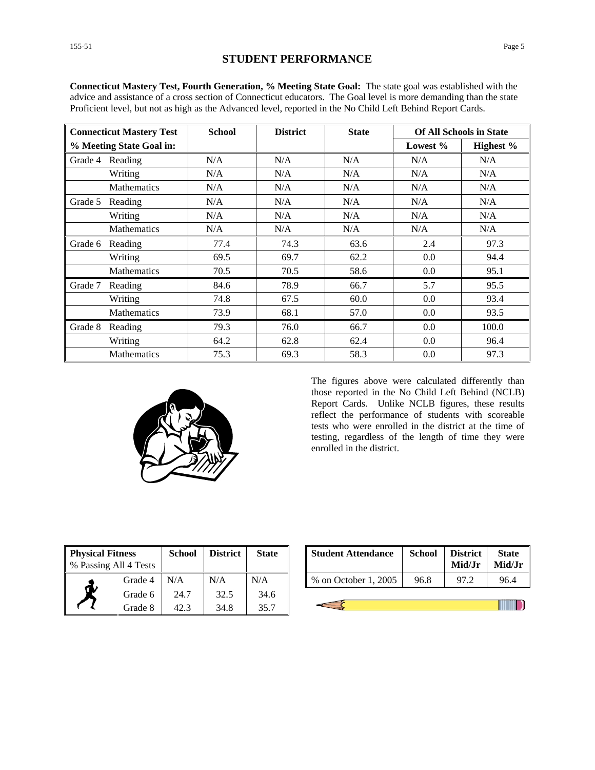| <b>Connecticut Mastery Test</b> |                    | <b>School</b> | <b>District</b> | <b>State</b> | <b>Of All Schools in State</b> |           |
|---------------------------------|--------------------|---------------|-----------------|--------------|--------------------------------|-----------|
| % Meeting State Goal in:        |                    |               |                 |              | Lowest %                       | Highest % |
| Grade 4                         | Reading            | N/A           | N/A             | N/A          | N/A                            | N/A       |
|                                 | Writing            | N/A           | N/A             | N/A          | N/A                            | N/A       |
|                                 | <b>Mathematics</b> | N/A           | N/A             | N/A          | N/A                            | N/A       |
| Grade 5                         | Reading            | N/A           | N/A             | N/A          | N/A                            | N/A       |
|                                 | Writing            | N/A           | N/A             | N/A          | N/A                            | N/A       |
|                                 | <b>Mathematics</b> | N/A           | N/A             | N/A          | N/A                            | N/A       |
| Grade 6                         | Reading            | 77.4          | 74.3            | 63.6         | 2.4                            | 97.3      |
|                                 | Writing            | 69.5          | 69.7            | 62.2         | 0.0                            | 94.4      |
|                                 | <b>Mathematics</b> | 70.5          | 70.5            | 58.6         | 0.0                            | 95.1      |
| Grade 7                         | Reading            | 84.6          | 78.9            | 66.7         | 5.7                            | 95.5      |
|                                 | Writing            | 74.8          | 67.5            | 60.0         | 0.0                            | 93.4      |
|                                 | <b>Mathematics</b> | 73.9          | 68.1            | 57.0         | 0.0                            | 93.5      |
| Grade 8                         | Reading            | 79.3          | 76.0            | 66.7         | 0.0                            | 100.0     |
|                                 | Writing            | 64.2          | 62.8            | 62.4         | 0.0                            | 96.4      |
|                                 | <b>Mathematics</b> | 75.3          | 69.3            | 58.3         | 0.0                            | 97.3      |

**Connecticut Mastery Test, Fourth Generation, % Meeting State Goal:** The state goal was established with the advice and assistance of a cross section of Connecticut educators. The Goal level is more demanding than the state Proficient level, but not as high as the Advanced level, reported in the No Child Left Behind Report Cards.



The figures above were calculated differently than those reported in the No Child Left Behind (NCLB) Report Cards. Unlike NCLB figures, these results reflect the performance of students with scoreable tests who were enrolled in the district at the time of testing, regardless of the length of time they were enrolled in the district.

| <b>Physical Fitness</b><br>% Passing All 4 Tests |         | School | <b>District</b> | <b>State</b> |
|--------------------------------------------------|---------|--------|-----------------|--------------|
|                                                  | Grade 4 | N/A    | N/A             | N/A          |
|                                                  | Grade 6 | 24.7   | 32.5            | 34.6         |
|                                                  | Grade 8 | 42.3   | 34.8            | 35.7         |

| ess<br>l 4 Tests | <b>School</b> | <b>District</b>      | <b>State</b> | <b>Student Attendance</b> | <b>School</b> | <b>District</b><br>Mid/Jr | <b>State</b><br>Mid/Jr |
|------------------|---------------|----------------------|--------------|---------------------------|---------------|---------------------------|------------------------|
| Grade 4          | N/A           | N/A                  | N/A          | % on October 1, 2005      | 96.8          |                           | 96.4                   |
| - - -            | - - -         | $\sim$ $\sim$ $\sim$ | - - -        |                           |               |                           |                        |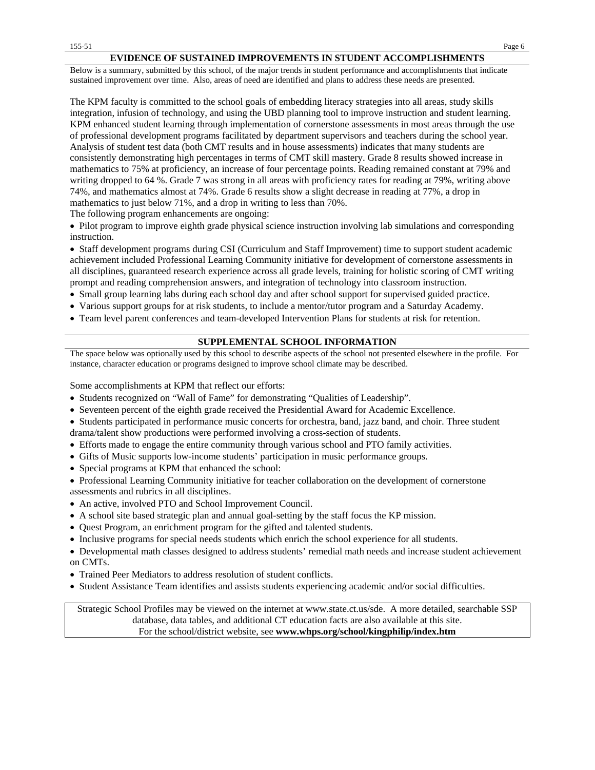#### **EVIDENCE OF SUSTAINED IMPROVEMENTS IN STUDENT ACCOMPLISHMENTS**

Below is a summary, submitted by this school, of the major trends in student performance and accomplishments that indicate sustained improvement over time. Also, areas of need are identified and plans to address these needs are presented.

The KPM faculty is committed to the school goals of embedding literacy strategies into all areas, study skills integration, infusion of technology, and using the UBD planning tool to improve instruction and student learning. KPM enhanced student learning through implementation of cornerstone assessments in most areas through the use of professional development programs facilitated by department supervisors and teachers during the school year. Analysis of student test data (both CMT results and in house assessments) indicates that many students are consistently demonstrating high percentages in terms of CMT skill mastery. Grade 8 results showed increase in mathematics to 75% at proficiency, an increase of four percentage points. Reading remained constant at 79% and writing dropped to 64 %. Grade 7 was strong in all areas with proficiency rates for reading at 79%, writing above 74%, and mathematics almost at 74%. Grade 6 results show a slight decrease in reading at 77%, a drop in mathematics to just below 71%, and a drop in writing to less than 70%.

The following program enhancements are ongoing:

• Pilot program to improve eighth grade physical science instruction involving lab simulations and corresponding instruction.

• Staff development programs during CSI (Curriculum and Staff Improvement) time to support student academic achievement included Professional Learning Community initiative for development of cornerstone assessments in all disciplines, guaranteed research experience across all grade levels, training for holistic scoring of CMT writing prompt and reading comprehension answers, and integration of technology into classroom instruction.

- Small group learning labs during each school day and after school support for supervised guided practice.
- Various support groups for at risk students, to include a mentor/tutor program and a Saturday Academy.
- Team level parent conferences and team-developed Intervention Plans for students at risk for retention.

### **SUPPLEMENTAL SCHOOL INFORMATION**

The space below was optionally used by this school to describe aspects of the school not presented elsewhere in the profile. For instance, character education or programs designed to improve school climate may be described.

Some accomplishments at KPM that reflect our efforts:

- Students recognized on "Wall of Fame" for demonstrating "Qualities of Leadership".
- Seventeen percent of the eighth grade received the Presidential Award for Academic Excellence.
- Students participated in performance music concerts for orchestra, band, jazz band, and choir. Three student drama/talent show productions were performed involving a cross-section of students.
- Efforts made to engage the entire community through various school and PTO family activities.
- Gifts of Music supports low-income students' participation in music performance groups.
- Special programs at KPM that enhanced the school:
- Professional Learning Community initiative for teacher collaboration on the development of cornerstone assessments and rubrics in all disciplines.
- An active, involved PTO and School Improvement Council.
- A school site based strategic plan and annual goal-setting by the staff focus the KP mission.
- Quest Program, an enrichment program for the gifted and talented students.
- Inclusive programs for special needs students which enrich the school experience for all students.
- Developmental math classes designed to address students' remedial math needs and increase student achievement on CMTs.
- Trained Peer Mediators to address resolution of student conflicts.
- Student Assistance Team identifies and assists students experiencing academic and/or social difficulties.

Strategic School Profiles may be viewed on the internet at www.state.ct.us/sde. A more detailed, searchable SSP database, data tables, and additional CT education facts are also available at this site. For the school/district website, see **www.whps.org/school/kingphilip/index.htm**